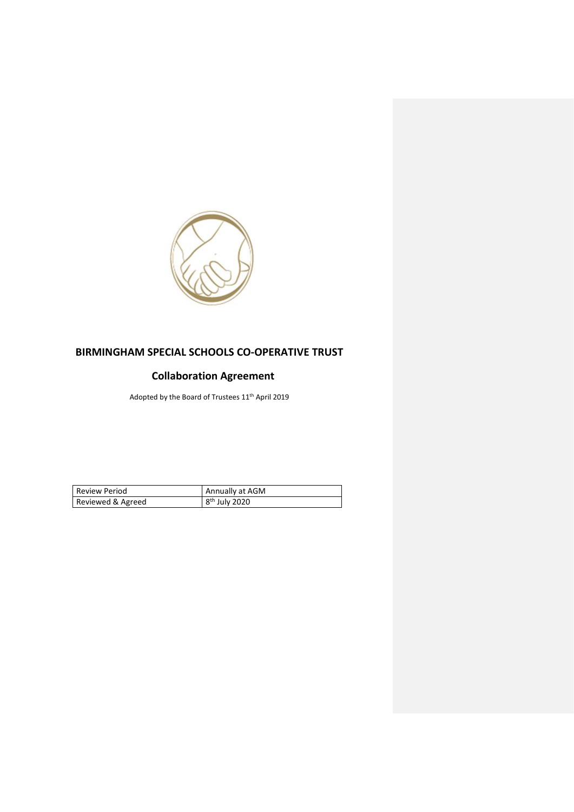

## **BIRMINGHAM SPECIAL SCHOOLS CO-OPERATIVE TRUST**

## **Collaboration Agreement**

Adopted by the Board of Trustees 11th April 2019

| Review Period     | Annually at AGM           |
|-------------------|---------------------------|
| Reviewed & Agreed | 8 <sup>th</sup> July 2020 |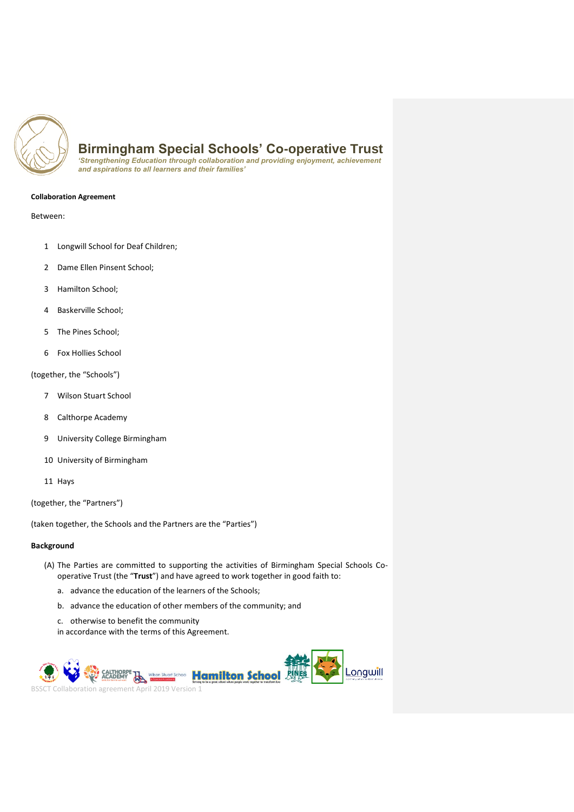

*'Strengthening Education through collaboration and providing enjoyment, achievement and aspirations to all learners and their families'* 

#### **Collaboration Agreement**

Between:

- 1 Longwill School for Deaf Children;
- 2 Dame Ellen Pinsent School;
- 3 Hamilton School;
- 4 Baskerville School;
- 5 The Pines School;
- 6 Fox Hollies School

(together, the "Schools")

- 7 Wilson Stuart School
- 8 Calthorpe Academy
- 9 University College Birmingham
- 10 University of Birmingham
- 11 Hays

(together, the "Partners")

(taken together, the Schools and the Partners are the "Parties")

## **Background**

- (A) The Parties are committed to supporting the activities of Birmingham Special Schools Cooperative Trust (the "**Trust**") and have agreed to work together in good faith to:
	- a. advance the education of the learners of the Schools;
	- b. advance [the educati](http://wilsonstuart.co.uk/)on of other members of the community; and
	- c. otherwise to benefit the community
	- in accordance with the terms of this Agreement.

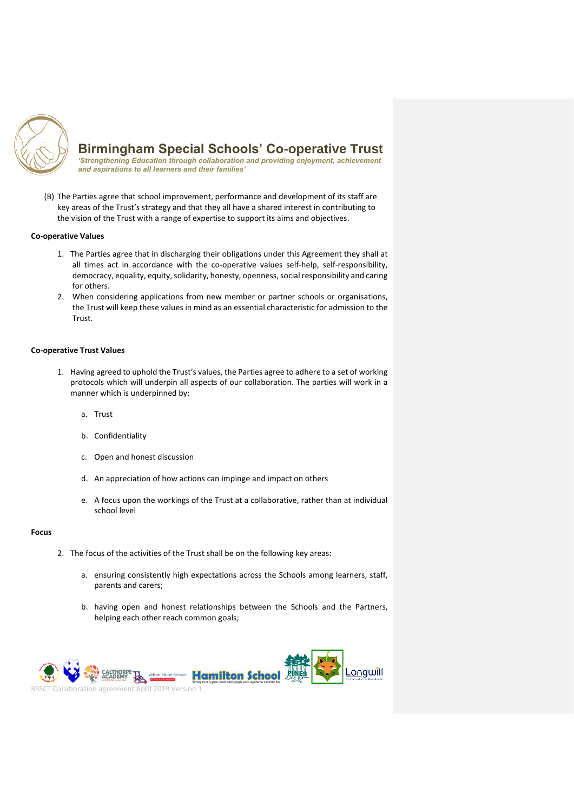

*'Strengthening Education through collaboration and providing enjoyment, achievement and aspirations to all learners and their families'* 

(B) The Parties agree that school improvement, performance and development of its staff are key areas of the Trust's strategy and that they all have a shared interest in contributing to the vision of the Trust with a range of expertise to support its aims and objectives.

### **Co-operative Values**

- 1. The Parties agree that in discharging their obligations under this Agreement they shall at all times act in accordance with the co-operative values self-help, self-responsibility, democracy, equality, equity, solidarity, honesty, openness, social responsibility and caring for others.
- 2. When considering applications from new member or partner schools or organisations, the Trust will keep these values in mind as an essential characteristic for admission to the **Trust.**

#### **Co-operative Trust Values**

- 1. Having agreed to uphold the Trust's values, the Parties agree to adhere to a set of working protocols which will underpin all aspects of our collaboration. The parties will work in a manner which is underpinned by:
	- a. Trust
	- b. Confidentiality
	- c. Open and honest discussion
	- d. An appreciation of how actions can impinge and impact on others
	- e. A focus upon the workings of the Trust at a collaborative, rather than at individual school level

#### **Focus**

- 2. The focus of the activities of the Trust shall be on the following key areas:
	- a. ensuring consistently high expectations across the Schools among learners, staff, parents and carers;
	- b. h[aving open](http://wilsonstuart.co.uk/) and honest relationships between the Schools and the Partners, helping each other reach common goals;

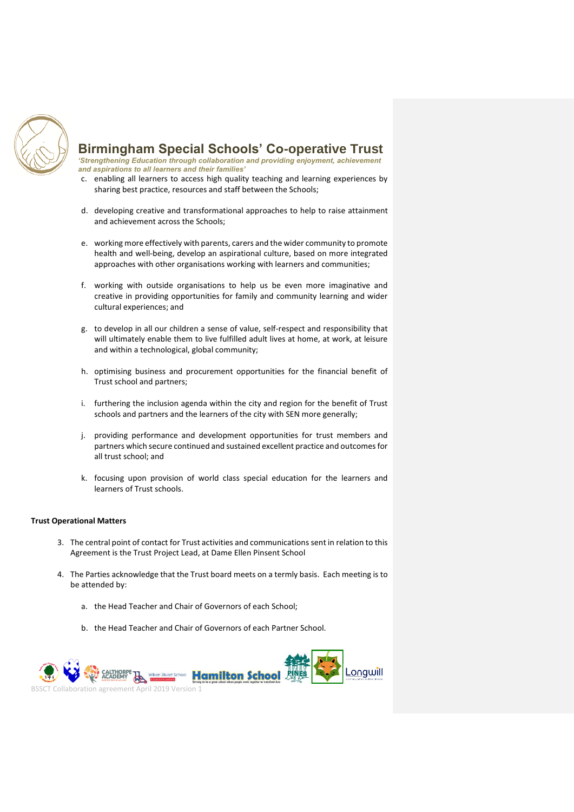

*'Strengthening Education through collaboration and providing enjoyment, achievement and aspirations to all learners and their families'* 

- c. enabling all learners to access high quality teaching and learning experiences by sharing best practice, resources and staff between the Schools;
- d. developing creative and transformational approaches to help to raise attainment and achievement across the Schools;
- e. working more effectively with parents, carers and the wider community to promote health and well-being, develop an aspirational culture, based on more integrated approaches with other organisations working with learners and communities;
- f. working with outside organisations to help us be even more imaginative and creative in providing opportunities for family and community learning and wider cultural experiences; and
- g. to develop in all our children a sense of value, self-respect and responsibility that will ultimately enable them to live fulfilled adult lives at home, at work, at leisure and within a technological, global community;
- h. optimising business and procurement opportunities for the financial benefit of Trust school and partners;
- i. furthering the inclusion agenda within the city and region for the benefit of Trust schools and partners and the learners of the city with SEN more generally;
- j. providing performance and development opportunities for trust members and partners which secure continued and sustained excellent practice and outcomes for all trust school; and
- k. focusing upon provision of world class special education for the learners and learners of Trust schools.

## **Trust Operational Matters**

- 3. The central point of contact for Trust activities and communications sent in relation to this Agreement is the Trust Project Lead, at Dame Ellen Pinsent School
- 4. The Parties acknowledge that the Trust board meets on a termly basis. Each meeting is to be attended by:
	- a. t[he Head Tea](http://wilsonstuart.co.uk/)cher and Chair of Governors of each School;
	- b. the Head Teacher and Chair of Governors of each Partner School.

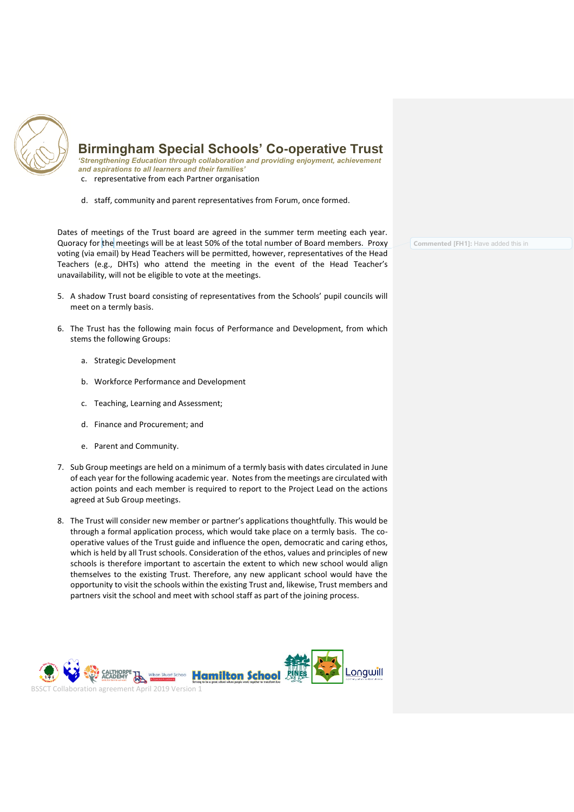

*'Strengthening Education through collaboration and providing enjoyment, achievement and aspirations to all learners and their families'*  c. representative from each Partner organisation

d. staff, community and parent representatives from Forum, once formed.

Dates of meetings of the Trust board are agreed in the summer term meeting each year. Quoracy for the meetings will be at least 50% of the total number of Board members. Proxy voting (via email) by Head Teachers will be permitted, however, representatives of the Head Teachers (e.g., DHTs) who attend the meeting in the event of the Head Teacher's unavailability, will not be eligible to vote at the meetings.

- 5. A shadow Trust board consisting of representatives from the Schools' pupil councils will meet on a termly basis.
- 6. The Trust has the following main focus of Performance and Development, from which stems the following Groups:
	- a. Strategic Development
	- b. Workforce Performance and Development
	- c. Teaching, Learning and Assessment;
	- d. Finance and Procurement; and
	- e. Parent and Community.
- 7. Sub Group meetings are held on a minimum of a termly basis with dates circulated in June of each year for the following academic year. Notes from the meetings are circulated with action points and each member is required to report to the Project Lead on the actions agreed at Sub Group meetings.
- 8. The Trust will consider new member or partner's applications thoughtfully. This would be through a formal application process, which would take place on a termly basis. The cooperative values of the Trust guide and influence the open, democratic and caring ethos, which is held by all Trust schools. Consideration of the ethos, values and principles of new schools is therefore important to ascertain the extent to which new school would align themselves to the existing Trust. Therefore, any new applicant school would have the opportunity to visit the schools within the existing Trust and, likewise, Trust members and partners visit the school and meet with school staff as part of the joining process.



**Commented [FH1]:** Have added this in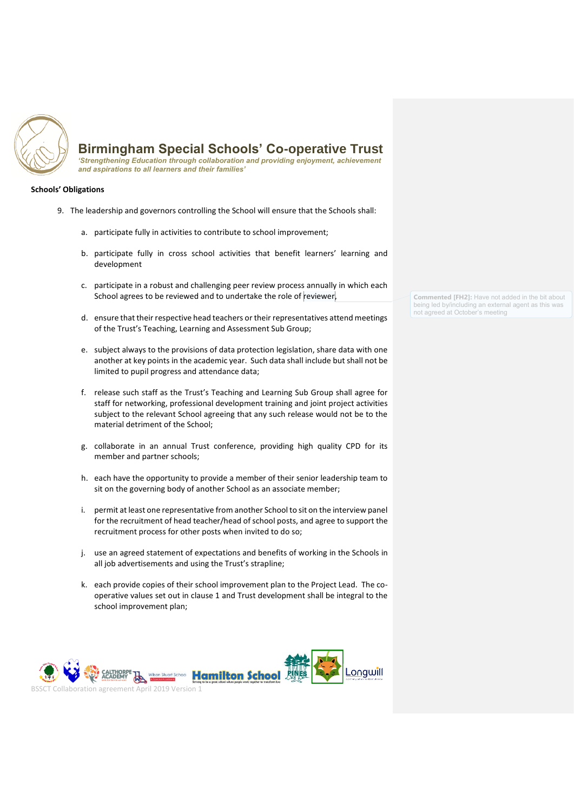

*'Strengthening Education through collaboration and providing enjoyment, achievement and aspirations to all learners and their families'* 

## **Schools' Obligations**

- 9. The leadership and governors controlling the School will ensure that the Schools shall:
	- a. participate fully in activities to contribute to school improvement;
	- b. participate fully in cross school activities that benefit learners' learning and development
	- c. participate in a robust and challenging peer review process annually in which each School agrees to be reviewed and to undertake the role of reviewer,
	- d. ensure that their respective head teachers or their representatives attend meetings of the Trust's Teaching, Learning and Assessment Sub Group;
	- e. subject always to the provisions of data protection legislation, share data with one another at key points in the academic year. Such data shall include but shall not be limited to pupil progress and attendance data;
	- f. release such staff as the Trust's Teaching and Learning Sub Group shall agree for staff for networking, professional development training and joint project activities subject to the relevant School agreeing that any such release would not be to the material detriment of the School;
	- g. collaborate in an annual Trust conference, providing high quality CPD for its member and partner schools;
	- h. each have the opportunity to provide a member of their senior leadership team to sit on the governing body of another School as an associate member;
	- i. permit at least one representative from another School to sit on the interview panel for the recruitment of head teacher/head of school posts, and agree to support the recruitment process for other posts when invited to do so;
	- j. use an agreed statement of expectations and benefits of working in the Schools in all job advertisements and using the Trust's strapline;
	- k. each provide copies of their school improvement plan to the Project Lead. The cooperative values set out in clause 1 and Trust development shall be integral to the s[chool improv](http://wilsonstuart.co.uk/)ement plan;



**Commented [FH2]:** Have not added in the bit about being led by/including an external agent as this was not agreed at October's meeting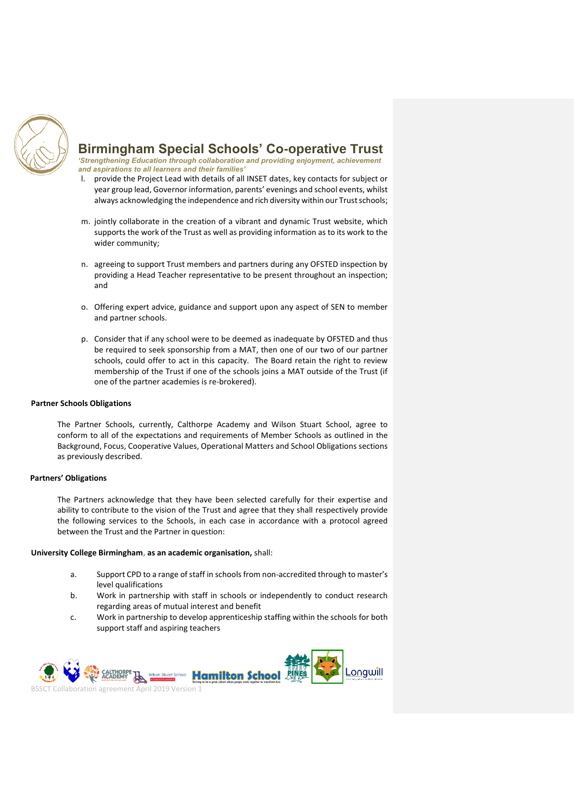

*'Strengthening Education through collaboration and providing enjoyment, achievement and aspirations to all learners and their families'* 

- l. provide the Project Lead with details of all INSET dates, key contacts for subject or year group lead, Governor information, parents' evenings and school events, whilst always acknowledging the independence and rich diversity within our Trust schools;
- m. jointly collaborate in the creation of a vibrant and dynamic Trust website, which supports the work of the Trust as well as providing information as to its work to the wider community;
- n. agreeing to support Trust members and partners during any OFSTED inspection by providing a Head Teacher representative to be present throughout an inspection; and
- o. Offering expert advice, guidance and support upon any aspect of SEN to member and partner schools.
- p. Consider that if any school were to be deemed as inadequate by OFSTED and thus be required to seek sponsorship from a MAT, then one of our two of our partner schools, could offer to act in this capacity. The Board retain the right to review membership of the Trust if one of the schools joins a MAT outside of the Trust (if one of the partner academies is re-brokered).

#### **Partner Schools Obligations**

The Partner Schools, currently, Calthorpe Academy and Wilson Stuart School, agree to conform to all of the expectations and requirements of Member Schools as outlined in the Background, Focus, Cooperative Values, Operational Matters and School Obligations sections as previously described.

#### **Partners' Obligations**

The Partners acknowledge that they have been selected carefully for their expertise and ability to contribute to the vision of the Trust and agree that they shall respectively provide the following services to the Schools, in each case in accordance with a protocol agreed between the Trust and the Partner in question:

#### **University College Birmingham, as an academic organisation,** shall:

- a. Support CPD to a range of staff in schools from non-accredited through to master's level qualifications
- b. Work in partnership with staff in schools or independently to conduct research r[egarding are](http://wilsonstuart.co.uk/)as of mutual interest and benefit
- c. Work in partnership to develop apprenticeship staffing within the schools for both support staff and aspiring teachers

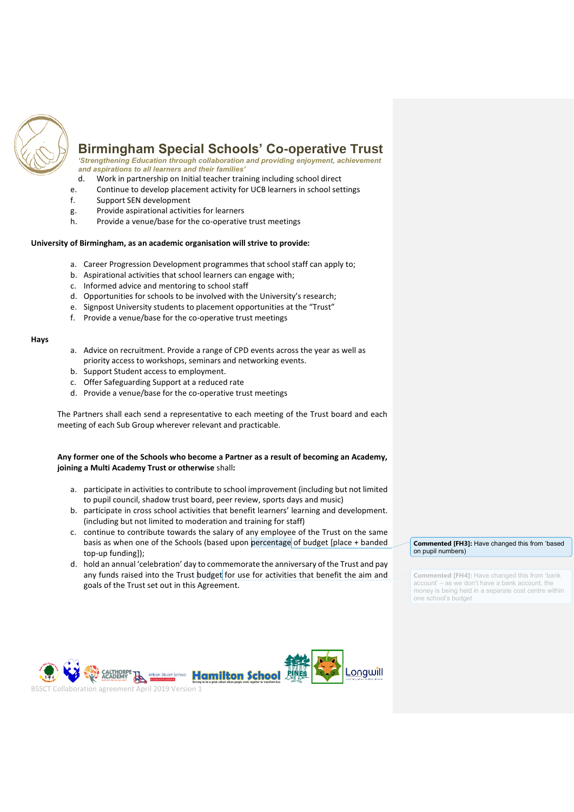

*'Strengthening Education through collaboration and providing enjoyment, achievement and aspirations to all learners and their families'* 

- d. Work in partnership on Initial teacher training including school direct
- e. Continue to develop placement activity for UCB learners in school settings
- f. Support SEN development
- g. Provide aspirational activities for learners
- h. Provide a venue/base for the co-operative trust meetings

#### **University of Birmingham, as an academic organisation will strive to provide:**

- a. Career Progression Development programmes that school staff can apply to;
- b. Aspirational activities that school learners can engage with;
- c. Informed advice and mentoring to school staff
- d. Opportunities for schools to be involved with the University's research;
- e. Signpost University students to placement opportunities at the "Trust"
- f. Provide a venue/base for the co-operative trust meetings

#### **Hays**

- a. Advice on recruitment. Provide a range of CPD events across the year as well as priority access to workshops, seminars and networking events.
- b. Support Student access to employment.
- c. Offer Safeguarding Support at a reduced rate
- d. Provide a venue/base for the co-operative trust meetings

The Partners shall each send a representative to each meeting of the Trust board and each meeting of each Sub Group wherever relevant and practicable.

#### **Any former one of the Schools who become a Partner as a result of becoming an Academy, joining a Multi Academy Trust or otherwise** shall**:**

- a. participate in activities to contribute to school improvement (including but not limited to pupil council, shadow trust board, peer review, sports days and music)
- b. participate in cross school activities that benefit learners' learning and development. (including but not limited to moderation and training for staff)
- c. continue to contribute towards the salary of any employee of the Trust on the same basis as when one of the Schools (based upon percentage of budget [place + banded top-up funding]);
- d. hold an annual 'celebration' day to commemorate the anniversary of the Trust and pay any funds raised into the Trust budget for use for activities that benefit the aim and goals of the Trust set out in this Agreement.



**Commented [FH3]:** Have changed this from 'based on pupil numbers)

**Commented [FH4]:** Have changed this from 'bank account' – as we don't have a bank account, the money is being held in a separate cost centre within one school's budget